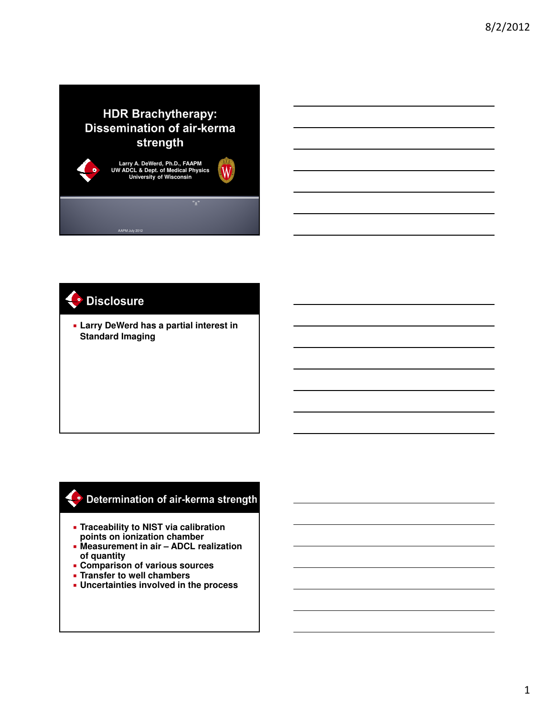### **HDR Brachytherapy: Dissemination of air-kerma** strength



# · Disclosure

 **Larry DeWerd has a partial interest in Standard Imaging**

#### Determination of air-kerma strength

- **Traceability to NIST via calibration points on ionization chamber**
- **Measurement in air ADCL realization of quantity**
- **Comparison of various sources**
- **Transfer to well chambers**
- **Uncertainties involved in the process**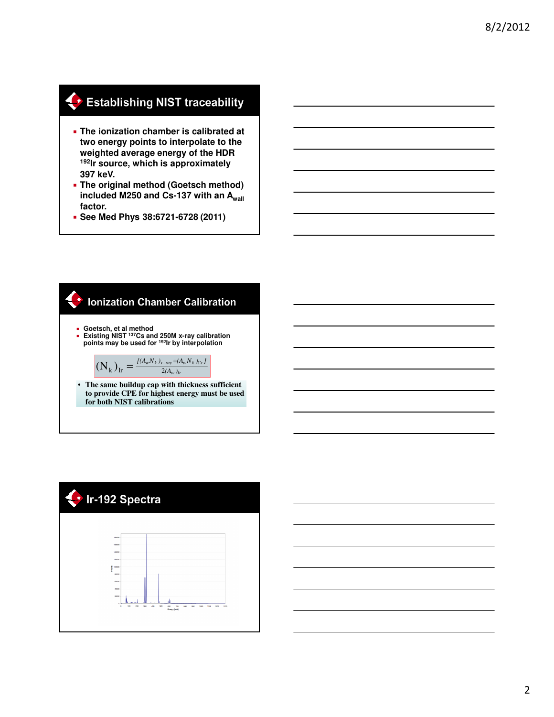# Establishing NIST traceability

- **The ionization chamber is calibrated at two energy points to interpolate to the weighted average energy of the HDR <sup>192</sup>Ir source, which is approximately 397 keV.**
- **The original method (Goetsch method) included M250 and Cs-137 with an Awall factor.**
- **See Med Phys 38:6721-6728 (2011)**

#### **Ionization Chamber Calibration**

- 
- **Goetsch, et al method Existing NIST <sup>137</sup>Cs and 250M x-ray calibration points may be used for <sup>192</sup>Ir by interpolation**

$$
(\mathbf{N}_{k})_{\text{Ir}} = \frac{I(A_{w}N_{k})_{x-ray} + (A_{w}N_{k})_{Cs}}{2(A_{w})_{lr}}
$$

• **The same buildup cap with thickness sufficient to provide CPE for highest energy must be used for both NIST calibrations**

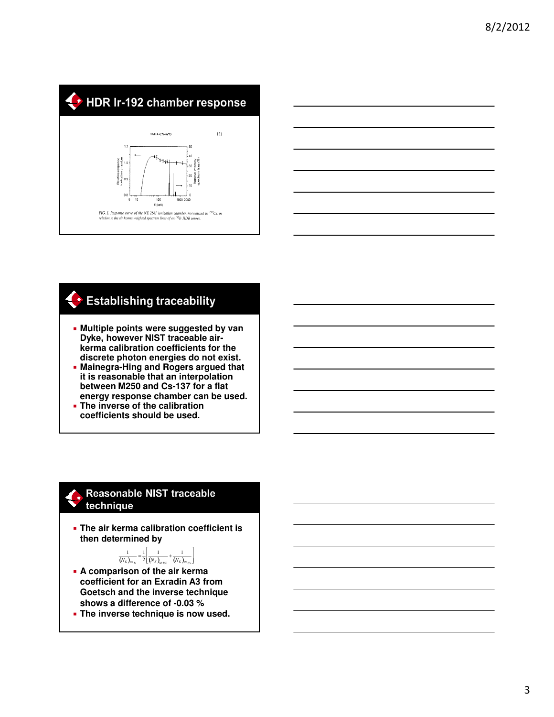



# **Establishing traceability**

- **Multiple points were suggested by van Dyke, however NIST traceable airkerma calibration coefficients for the discrete photon energies do not exist.**
- **Mainegra-Hing and Rogers argued that it is reasonable that an interpolation between M250 and Cs-137 for a flat energy response chamber can be used. The inverse of the calibration**
- **coefficients should be used.**

#### Reasonable NIST traceable technique

 **The air kerma calibration coefficient is then determined by** 

> 1  $\overline{\phantom{a}}$

 $\frac{1}{(N_K)_{m_K}} = \frac{1}{2}$ 2  $\frac{1}{(N_K)_{M250}} + \frac{1}{(N_K)_{^{137}Cs}$ Г l

- **A comparison of the air kerma coefficient for an Exradin A3 from Goetsch and the inverse technique shows a difference of -0.03 %**
- **The inverse technique is now used.**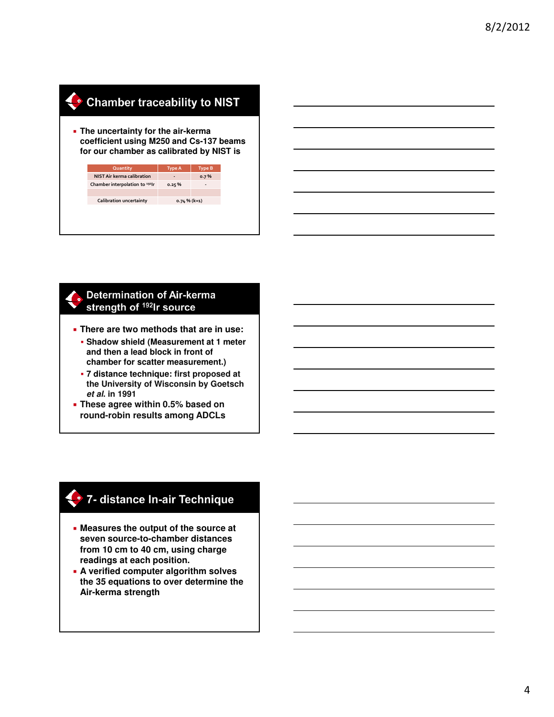# Chamber traceability to NIST

 **The uncertainty for the air-kerma coefficient using M250 and Cs-137 beams for our chamber as calibrated by NIST is**

| <b>Type A</b>   | <b>Type B</b> |
|-----------------|---------------|
|                 | 0.7%          |
| 0.25%           |               |
|                 |               |
| $0.74 \%$ (k=1) |               |
|                 |               |
|                 |               |
|                 |               |

#### **Determination of Air-kerma** strength of 192Ir source

- **There are two methods that are in use:**
	- **Shadow shield (Measurement at 1 meter and then a lead block in front of chamber for scatter measurement.)**
	- **7 distance technique: first proposed at the University of Wisconsin by Goetsch et al. in 1991**
- **These agree within 0.5% based on round-robin results among ADCLs**

#### 2 7- distance In-air Technique

- **Measures the output of the source at seven source-to-chamber distances from 10 cm to 40 cm, using charge readings at each position.**
- **A verified computer algorithm solves the 35 equations to over determine the Air-kerma strength**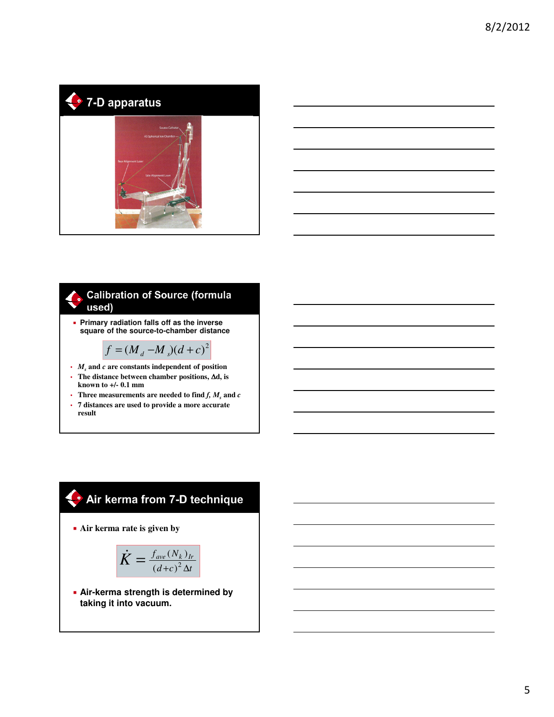



#### **Calibration of Source (formula** used)

 **Primary radiation falls off as the inverse square of the source-to-chamber distance**

$$
f = (M_d - M_s)(d + c)^2
$$

- *M<sup>s</sup>* **and** *c* **are constants independent of position**
- **The distance between chamber positions,** ∆**d, is known to +/- 0.1 mm**
- Three measurements are needed to find  $f$ ,  $M$ <sub>s</sub> and  $c$
- **7 distances are used to provide a more accurate result**

## Air kerma from 7-D technique

**Air kerma rate is given by**

$$
\dot{K} = \frac{f_{ave}(N_k)_{lr}}{(d+c)^2 \Delta t}
$$

 **Air-kerma strength is determined by taking it into vacuum.**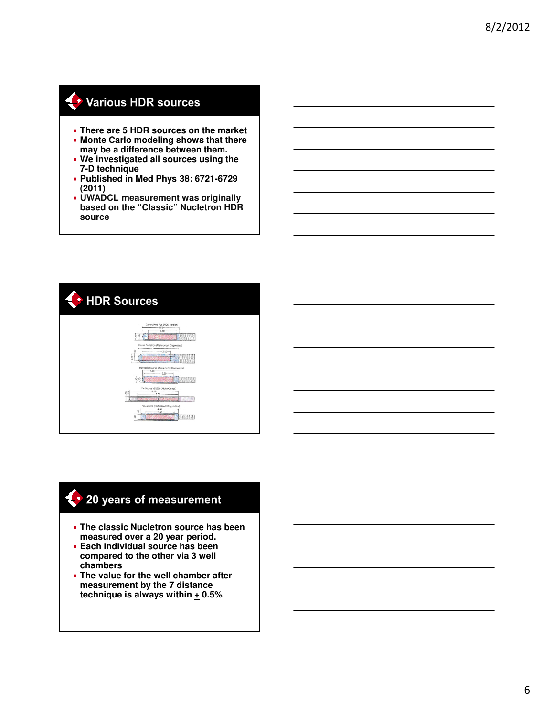### Various HDR sources

- **There are 5 HDR sources on the market**
- **Monte Carlo modeling shows that there may be a difference between them.**
- **We investigated all sources using the 7-D technique**
- **Published in Med Phys 38: 6721-6729 (2011)**
- **UWADCL measurement was originally based on the "Classic" Nucletron HDR source**



#### 20 years of measurement

- **The classic Nucletron source has been measured over a 20 year period.**
- **Each individual source has been compared to the other via 3 well chambers**
- **The value for the well chamber after measurement by the 7 distance technique is always within + 0.5%**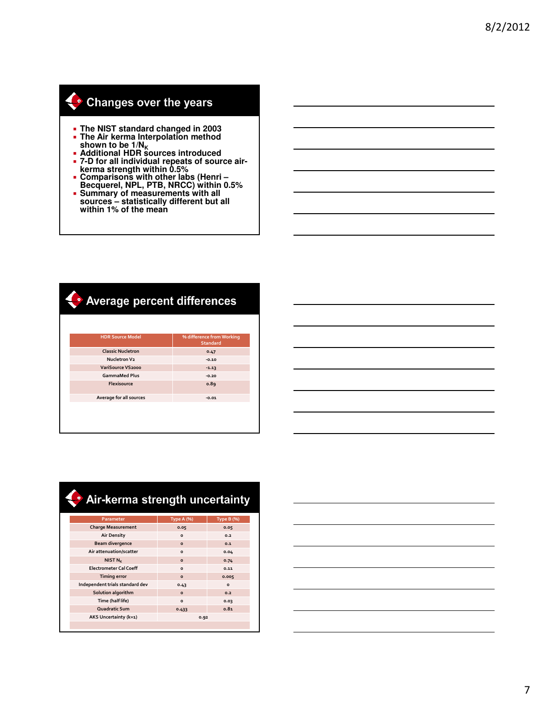# Changes over the years

- **The NIST standard changed in 2003**
- **The Air kerma Interpolation method shown to be 1/N<sup>K</sup> Additional HDR sources introduced**
- 
- **7-D for all individual repeats of source airkerma strength within 0.5%**
- **Comparisons with other labs (Henri – Becquerel, NPL, PTB, NRCC) within 0.5%**
- **Summary of measurements with all sources – statistically different but all within 1% of the mean**

### Average percent differences

| <b>HDR Source Model</b>  | % difference from Working<br><b>Standard</b> |
|--------------------------|----------------------------------------------|
| <b>Classic Nucletron</b> | 0.47                                         |
| Nucletron V2             | $-0.10$                                      |
| VariSource VS2000        | $-1.13$                                      |
| <b>GammaMed Plus</b>     | $-0.20$                                      |
| Flexisource              | 0.89                                         |
| Average for all sources  | $-0.01$                                      |
|                          |                                              |

|  |  |  | the control of the control of |
|--|--|--|-------------------------------|
|  |  |  |                               |
|  |  |  |                               |
|  |  |  |                               |
|  |  |  |                               |
|  |  |  |                               |
|  |  |  |                               |
|  |  |  |                               |
|  |  |  |                               |
|  |  |  |                               |
|  |  |  |                               |
|  |  |  |                               |

| Parameter                       | <b>Type A (%)</b> | <b>Type B (%)</b> |
|---------------------------------|-------------------|-------------------|
| <b>Charge Measurement</b>       | 0.05              | 0.05              |
| <b>Air Density</b>              | $\circ$           | 0.2               |
| <b>Beam divergence</b>          | $\Omega$          | 0.1               |
| Air attenuation/scatter         | $\Omega$          | 0.04              |
| NIST $N_{K}$                    | $\Omega$          | 0.74              |
| <b>Electrometer Cal Coeff</b>   | $\Omega$          | 0.11              |
| <b>Timing error</b>             | $\Omega$          | 0.005             |
| Independent trials standard dev | 0.43              | $\Omega$          |
| Solution algorithm              | $\circ$           | 0.2               |
| Time (half life)                | $\circ$           | 0.03              |
| Quadratic Sum                   | 0.433             | 0.81              |
| AKS Uncertainty (k=1)           | 0.92              |                   |
|                                 |                   |                   |

# Air-kerma strength uncertainty

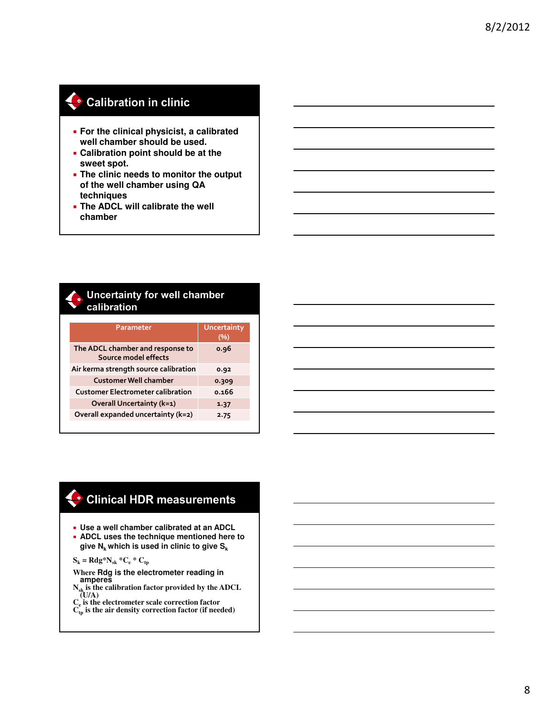## Calibration in clinic

- **For the clinical physicist, a calibrated well chamber should be used.**
- **Calibration point should be at the sweet spot.**
- **The clinic needs to monitor the output of the well chamber using QA techniques**
- **The ADCL will calibrate the well chamber**

#### **Uncertainty for well chamber** calibration

| Parameter                                                | <b>Uncertainty</b><br>(%) |
|----------------------------------------------------------|---------------------------|
| The ADCL chamber and response to<br>Source model effects | 0.96                      |
| Air kerma strength source calibration                    | 0.92                      |
| <b>Customer Well chamber</b>                             | 0.309                     |
| <b>Customer Electrometer calibration</b>                 | 0.166                     |
| <b>Overall Uncertainty (k=1)</b>                         | 1.37                      |
| Overall expanded uncertainty (k=2)                       | 2.75                      |

### Clinical HDR measurements

- **Use a well chamber calibrated at an ADCL**
- **ADCL uses the technique mentioned here to give Nk which is used in clinic to give S<sup>k</sup>**

 $S_k = Rdg*N_{sk} *C_e * C_{tp}$ 

**Where Rdg is the electrometer reading in amperes** 

- **Nsk is the calibration factor provided by the ADCL (U/A)**
- **Ce is the electrometer scale correction factor**  $C_{\text{tp}}$  is the air density correction factor (if needed)